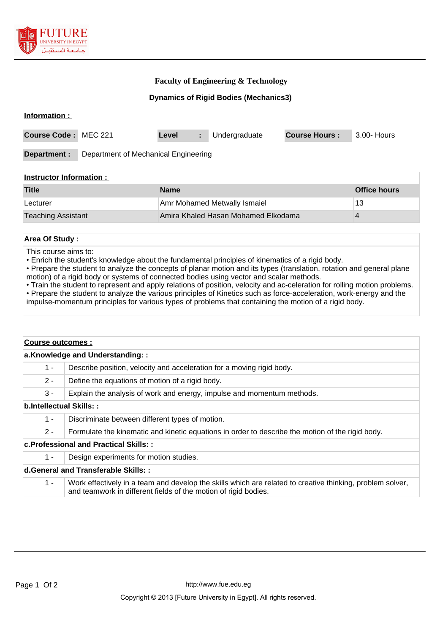

## **Faculty of Engineering & Technology**

**Dynamics of Rigid Bodies (Mechanics3)**

#### **Information :**

| <b>Course Code: MEC 221</b> |                                      | Level |  | Undergraduate | <b>Course Hours:</b> | 3.00- Hours |
|-----------------------------|--------------------------------------|-------|--|---------------|----------------------|-------------|
| Department :                | Department of Mechanical Engineering |       |  |               |                      |             |

#### **Instructor Information :**

| <b>Title</b>              | <b>Name</b>                         | <b>Office hours</b> |
|---------------------------|-------------------------------------|---------------------|
| Lecturer                  | Amr Mohamed Metwally Ismaiel        | 13                  |
| <b>Teaching Assistant</b> | Amira Khaled Hasan Mohamed Elkodama |                     |

#### **Area Of Study :**

This course aims to:

• Enrich the student's knowledge about the fundamental principles of kinematics of a rigid body.

• Prepare the student to analyze the concepts of planar motion and its types (translation, rotation and general plane motion) of a rigid body or systems of connected bodies using vector and scalar methods.

• Train the student to represent and apply relations of position, velocity and ac-celeration for rolling motion problems. • Prepare the student to analyze the various principles of Kinetics such as force-acceleration, work-energy and the impulse-momentum principles for various types of problems that containing the motion of a rigid body.

| a.Knowledge and Understanding::<br>$1 -$<br>$2 -$<br>Define the equations of motion of a rigid body.<br>3 -<br>b.Intellectual Skills::                                                |                                                                        |  |  |  |  |
|---------------------------------------------------------------------------------------------------------------------------------------------------------------------------------------|------------------------------------------------------------------------|--|--|--|--|
|                                                                                                                                                                                       |                                                                        |  |  |  |  |
|                                                                                                                                                                                       | Describe position, velocity and acceleration for a moving rigid body.  |  |  |  |  |
|                                                                                                                                                                                       |                                                                        |  |  |  |  |
|                                                                                                                                                                                       | Explain the analysis of work and energy, impulse and momentum methods. |  |  |  |  |
|                                                                                                                                                                                       |                                                                        |  |  |  |  |
| $1 -$<br>Discriminate between different types of motion.                                                                                                                              |                                                                        |  |  |  |  |
| $2 -$<br>Formulate the kinematic and kinetic equations in order to describe the motion of the rigid body.                                                                             |                                                                        |  |  |  |  |
| c. Professional and Practical Skills::                                                                                                                                                |                                                                        |  |  |  |  |
| Design experiments for motion studies.<br>$1 -$                                                                                                                                       |                                                                        |  |  |  |  |
| d.General and Transferable Skills::                                                                                                                                                   |                                                                        |  |  |  |  |
| Work effectively in a team and develop the skills which are related to creative thinking, problem solver,<br>$1 -$<br>and teamwork in different fields of the motion of rigid bodies. |                                                                        |  |  |  |  |